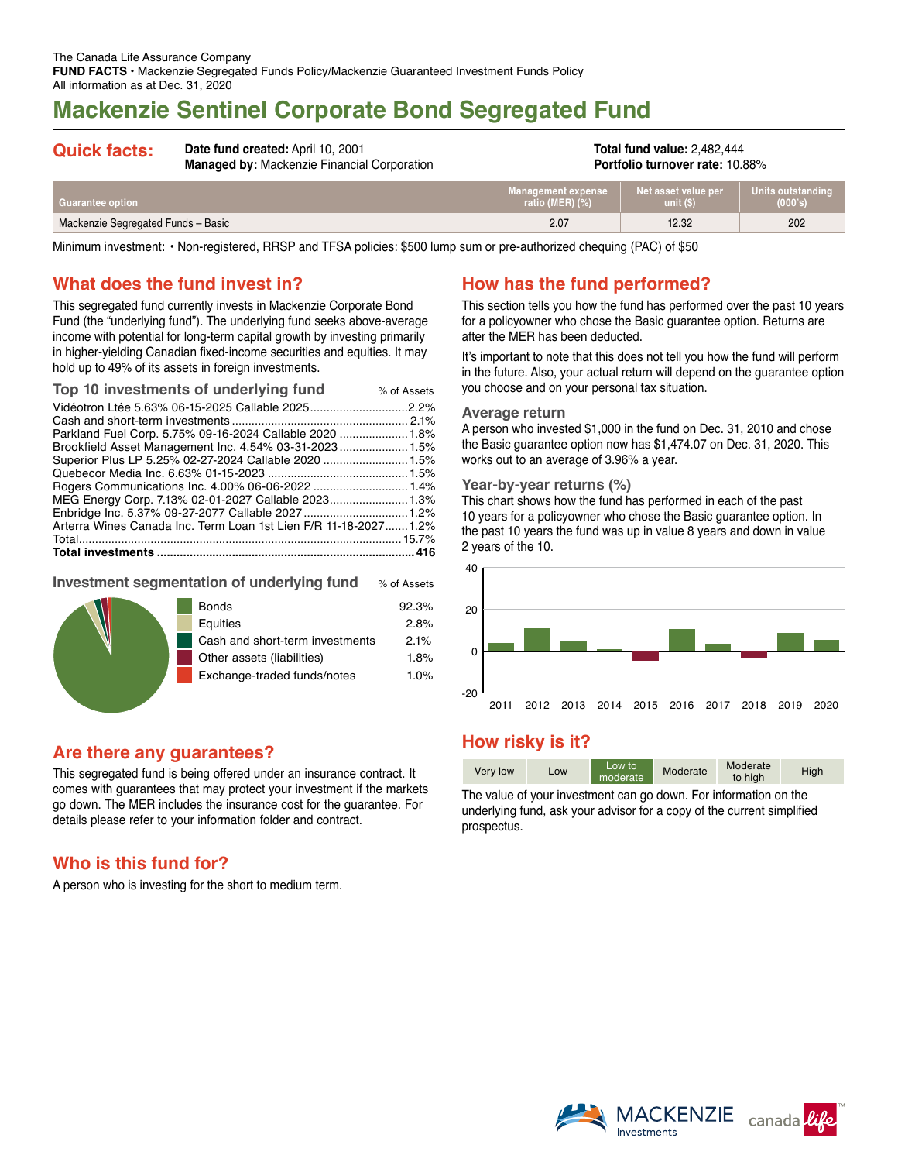# **Mackenzie Sentinel Corporate Bond Segregated Fund**

| <b>Quick facts:</b>     | Date fund created: April 10, 2001<br><b>Managed by: Mackenzie Financial Corporation</b> |                                          | <b>Total fund value: 2,482,444</b><br><b>Portfolio turnover rate: 10.88%</b> |                              |  |
|-------------------------|-----------------------------------------------------------------------------------------|------------------------------------------|------------------------------------------------------------------------------|------------------------------|--|
| <b>Guarantee option</b> |                                                                                         | Management expense<br>ratio (MER) $(\%)$ | Net asset value per<br>unit(S)                                               | Units outstanding<br>(000's) |  |

Mackenzie Segregated Funds – Basic 2.07 12.32 202

Minimum investment: • Non-registered, RRSP and TFSA policies: \$500 lump sum or pre-authorized chequing (PAC) of \$50

## **What does the fund invest in?**

This segregated fund currently invests in Mackenzie Corporate Bond Fund (the "underlying fund"). The underlying fund seeks above-average income with potential for long-term capital growth by investing primarily in higher-yielding Canadian fixed-income securities and equities. It may hold up to 49% of its assets in foreign investments.

| Top 10 investments of underlying fund                            | % of Assets |
|------------------------------------------------------------------|-------------|
|                                                                  |             |
|                                                                  |             |
| Parkland Fuel Corp. 5.75% 09-16-2024 Callable 2020  1.8%         |             |
| Brookfield Asset Management Inc. 4.54% 03-31-2023 1.5%           |             |
| Superior Plus LP 5.25% 02-27-2024 Callable 2020 1.5%             |             |
|                                                                  |             |
|                                                                  |             |
|                                                                  |             |
|                                                                  |             |
| Arterra Wines Canada Inc. Term Loan 1st Lien F/R 11-18-2027 1.2% |             |
|                                                                  |             |
|                                                                  |             |

### **Investment segmentation of underlying fund** % of Assets

|  | <b>Bonds</b>                    | 92.3% |
|--|---------------------------------|-------|
|  | Equities                        | 2.8%  |
|  | Cash and short-term investments | 2.1%  |
|  | Other assets (liabilities)      | 1.8%  |
|  | Exchange-traded funds/notes     | 1.0%  |
|  |                                 |       |

## **Are there any guarantees?**

This segregated fund is being offered under an insurance contract. It comes with guarantees that may protect your investment if the markets go down. The MER includes the insurance cost for the guarantee. For details please refer to your information folder and contract.

## **Who is this fund for?**

A person who is investing for the short to medium term.

# **How has the fund performed?**

This section tells you how the fund has performed over the past 10 years for a policyowner who chose the Basic guarantee option. Returns are after the MER has been deducted.

It's important to note that this does not tell you how the fund will perform in the future. Also, your actual return will depend on the guarantee option you choose and on your personal tax situation.

#### **Average return**

A person who invested \$1,000 in the fund on Dec. 31, 2010 and chose the Basic guarantee option now has \$1,474.07 on Dec. 31, 2020. This works out to an average of 3.96% a year.

#### **Year-by-year returns (%)**

This chart shows how the fund has performed in each of the past 10 years for a policyowner who chose the Basic guarantee option. In the past 10 years the fund was up in value 8 years and down in value 2 years of the 10.



## **How risky is it?**

| Very low | Low | Low to<br>moderate | Moderate | Moderate<br>to high | High |
|----------|-----|--------------------|----------|---------------------|------|

The value of your investment can go down. For information on the underlying fund, ask your advisor for a copy of the current simplified prospectus.